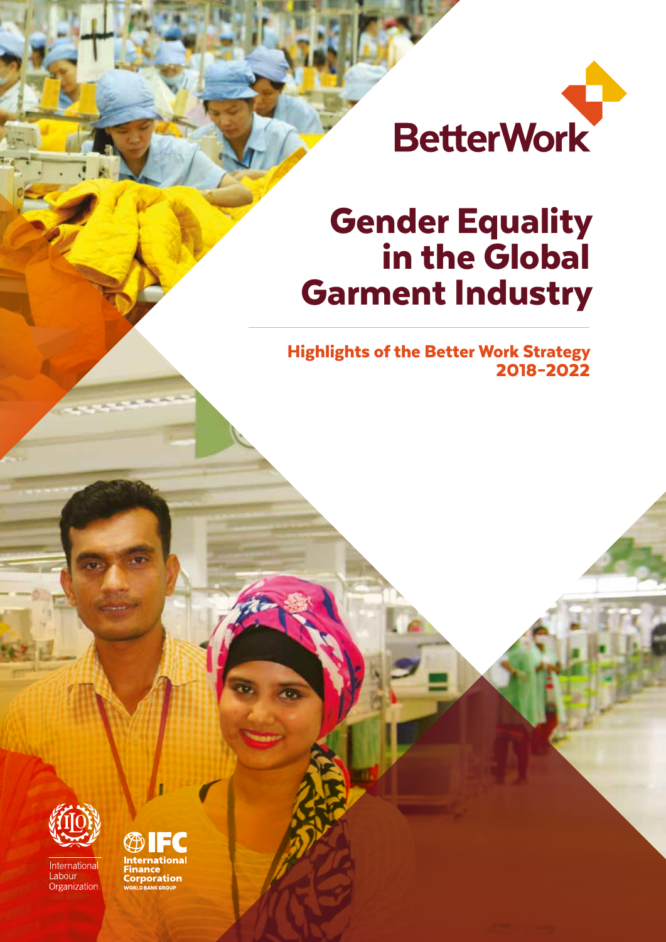

# Gender Equality in the Global Garment Industry

Highlights of the Better Work Strategy 2018–2022



International Labour Organization

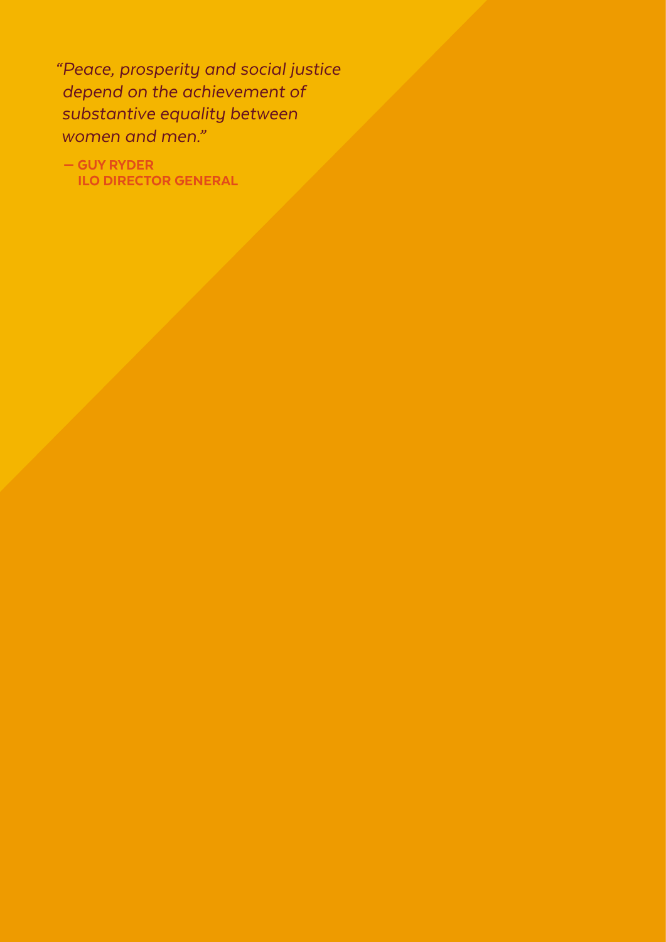*"Peace, prosperity and social justice depend on the achievement of substantive equality between women and men."* 

 — GUY RYDER ILO DIRECTOR GENERAL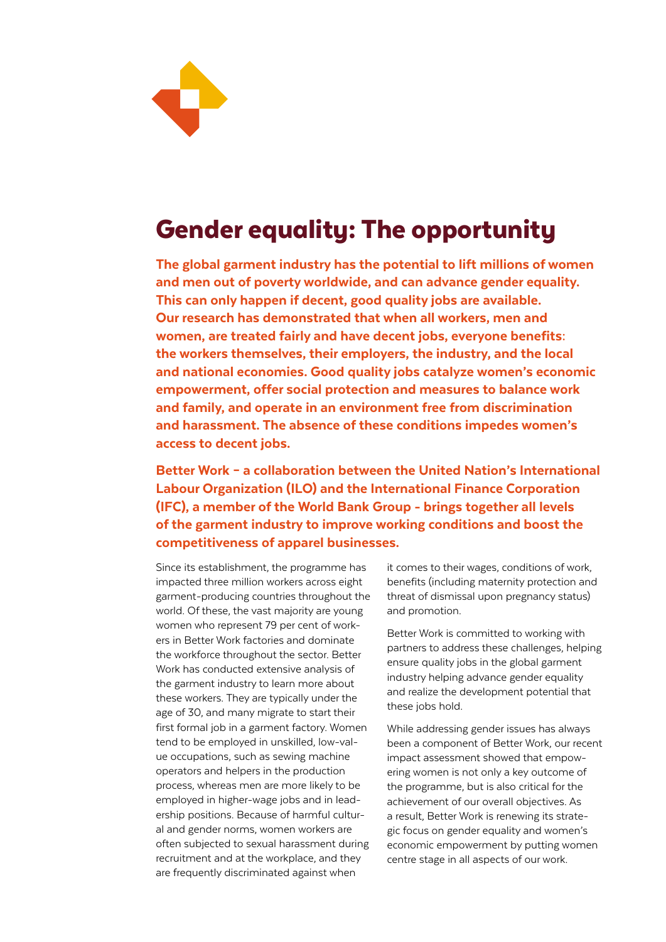

## Gender equality: The opportunity

The global garment industry has the potential to lift millions of women and men out of poverty worldwide, and can advance gender equality. This can only happen if decent, good quality jobs are available. Our research has demonstrated that when all workers, men and women, are treated fairly and have decent jobs, everyone benefits: the workers themselves, their employers, the industry, and the local and national economies. Good quality jobs catalyze women's economic empowerment, offer social protection and measures to balance work and family, and operate in an environment free from discrimination and harassment. The absence of these conditions impedes women's access to decent jobs.

Better Work – a collaboration between the United Nation's International Labour Organization (ILO) and the International Finance Corporation (IFC), a member of the World Bank Group - brings together all levels of the garment industry to improve working conditions and boost the competitiveness of apparel businesses.

Since its establishment, the programme has impacted three million workers across eight garment-producing countries throughout the world. Of these, the vast majority are young women who represent 79 per cent of workers in Better Work factories and dominate the workforce throughout the sector. Better Work has conducted extensive analysis of the garment industry to learn more about these workers. They are typically under the age of 30, and many migrate to start their first formal job in a garment factory. Women tend to be employed in unskilled, low-value occupations, such as sewing machine operators and helpers in the production process, whereas men are more likely to be employed in higher-wage jobs and in leadership positions. Because of harmful cultural and gender norms, women workers are often subjected to sexual harassment during recruitment and at the workplace, and they are frequently discriminated against when

it comes to their wages, conditions of work, benefits (including maternity protection and threat of dismissal upon pregnancy status) and promotion.

Better Work is committed to working with partners to address these challenges, helping ensure quality jobs in the global garment industry helping advance gender equality and realize the development potential that these jobs hold.

While addressing gender issues has always been a component of Better Work, our recent impact assessment showed that empowering women is not only a key outcome of the programme, but is also critical for the achievement of our overall objectives. As a result, Better Work is renewing its strategic focus on gender equality and women's economic empowerment by putting women centre stage in all aspects of our work.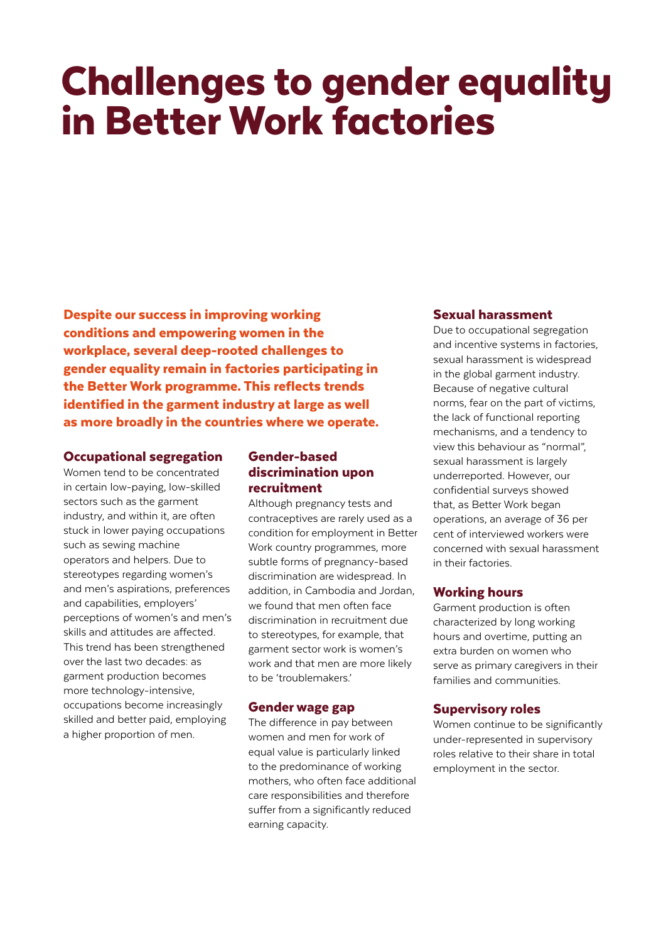# Challenges to gender equality in Better Work factories

Despite our success in improving working conditions and empowering women in the workplace, several deep-rooted challenges to gender equality remain in factories participating in the Better Work programme. This reflects trends identified in the garment industry at large as well as more broadly in the countries where we operate.

### Occupational segregation

Women tend to be concentrated in certain low-paying, low-skilled sectors such as the garment industry, and within it, are often stuck in lower paying occupations such as sewing machine operators and helpers. Due to stereotypes regarding women's and men's aspirations, preferences and capabilities, employers' perceptions of women's and men's skills and attitudes are affected. This trend has been strengthened over the last two decades: as garment production becomes more technology-intensive, occupations become increasingly skilled and better paid, employing a higher proportion of men.

### Gender-based discrimination upon recruitment

Although pregnancy tests and contraceptives are rarely used as a condition for employment in Better Work country programmes, more subtle forms of pregnancy-based discrimination are widespread. In addition, in Cambodia and Jordan, we found that men often face discrimination in recruitment due to stereotypes, for example, that garment sector work is women's work and that men are more likely to be 'troublemakers.'

### Gender wage gap

The difference in pay between women and men for work of equal value is particularly linked to the predominance of working mothers, who often face additional care responsibilities and therefore suffer from a significantly reduced earning capacity.

### Sexual harassment

Due to occupational segregation and incentive systems in factories, sexual harassment is widespread in the global garment industry. Because of negative cultural norms, fear on the part of victims, the lack of functional reporting mechanisms, and a tendency to view this behaviour as "normal", sexual harassment is largely underreported. However, our confidential surveys showed that, as Better Work began operations, an average of 36 per cent of interviewed workers were concerned with sexual harassment in their factories.

### Working hours

Garment production is often characterized by long working hours and overtime, putting an extra burden on women who serve as primary caregivers in their families and communities.

### Supervisory roles

Women continue to be significantly under-represented in supervisory roles relative to their share in total employment in the sector.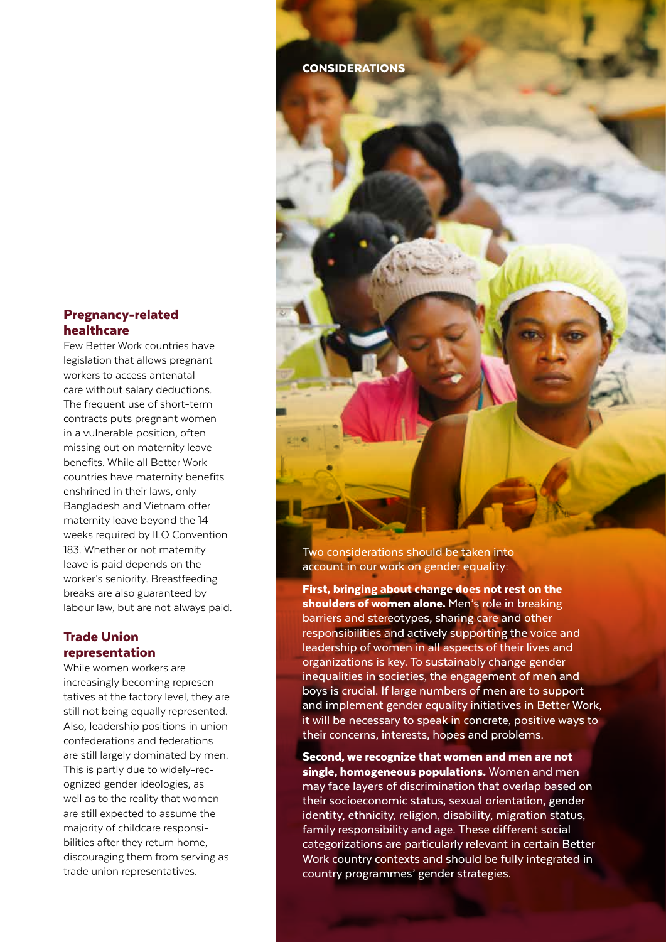### Pregnancy-related healthcare

Few Better Work countries have legislation that allows pregnant workers to access antenatal care without salary deductions. The frequent use of short-term contracts puts pregnant women in a vulnerable position, often missing out on maternity leave benefits. While all Better Work countries have maternity benefits enshrined in their laws, only Bangladesh and Vietnam offer maternity leave beyond the 14 weeks required by ILO Convention 183. Whether or not maternity leave is paid depends on the worker's seniority. Breastfeeding breaks are also guaranteed by labour law, but are not always paid.

### Trade Union representation

While women workers are increasingly becoming representatives at the factory level, they are still not being equally represented. Also, leadership positions in union confederations and federations are still largely dominated by men. This is partly due to widely-recognized gender ideologies, as well as to the reality that women are still expected to assume the majority of childcare responsibilities after they return home, discouraging them from serving as trade union representatives.

CONSIDERATIONS



Two considerations should be taken into account in our work on gender equality:

First, bringing about change does not rest on the shoulders of women alone. Men's role in breaking barriers and stereotypes, sharing care and other responsibilities and actively supporting the voice and leadership of women in all aspects of their lives and organizations is key. To sustainably change gender inequalities in societies, the engagement of men and boys is crucial. If large numbers of men are to support and implement gender equality initiatives in Better Work, it will be necessary to speak in concrete, positive ways to their concerns, interests, hopes and problems.

Second, we recognize that women and men are not single, homogeneous populations. Women and men may face layers of discrimination that overlap based on their socioeconomic status, sexual orientation, gender identity, ethnicity, religion, disability, migration status, family responsibility and age. These different social categorizations are particularly relevant in certain Better Work country contexts and should be fully integrated in country programmes' gender strategies.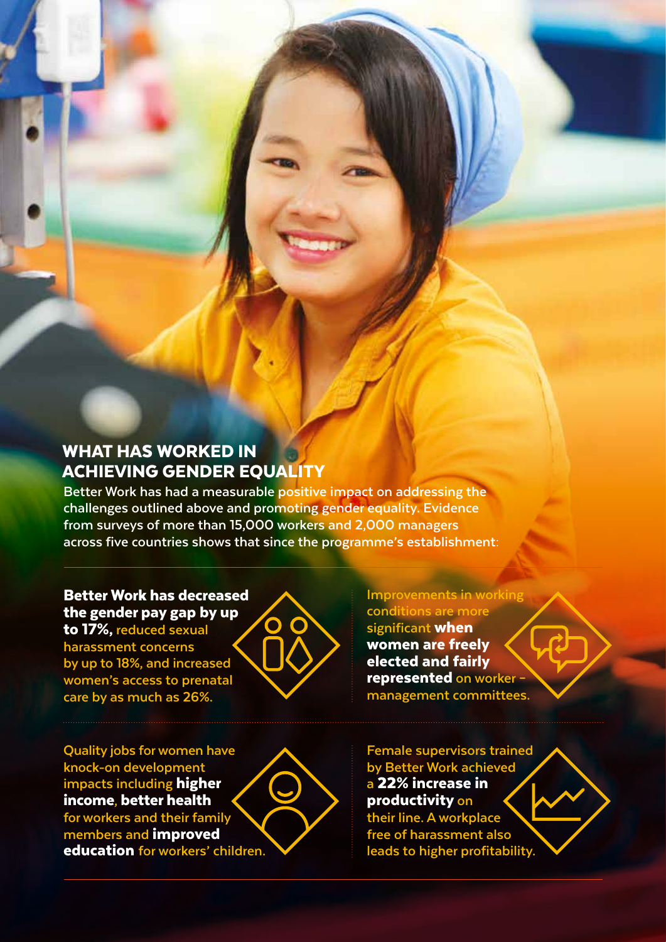### WHAT HAS WORKED IN ACHIEVING GENDER EQUALITY

**Better Work has had a measurable positive impact on addressing the challenges outlined above and promoting gender equality. Evidence from surveys of more than 15,000 workers and 2,000 managers across five countries shows that since the programme's establishment:**

### Better Work has decreased the gender pay gap by up

to 17%, **reduced sexual harassment concerns by up to 18%, and increased women's access to prenatal care by as much as 26%.**



**Quality jobs for women have knock-on development impacts including** higher income**,** better health **for workers and their family members and** improved education **for workers' children.** **Improvements in working conditions are more significant** when women are freely elected and fairly represented **on worker – management committees.**

**Female supervisors trained by Better Work achieved a** 22% increase in productivity **on their line. A workplace free of harassment also leads to higher profitability.**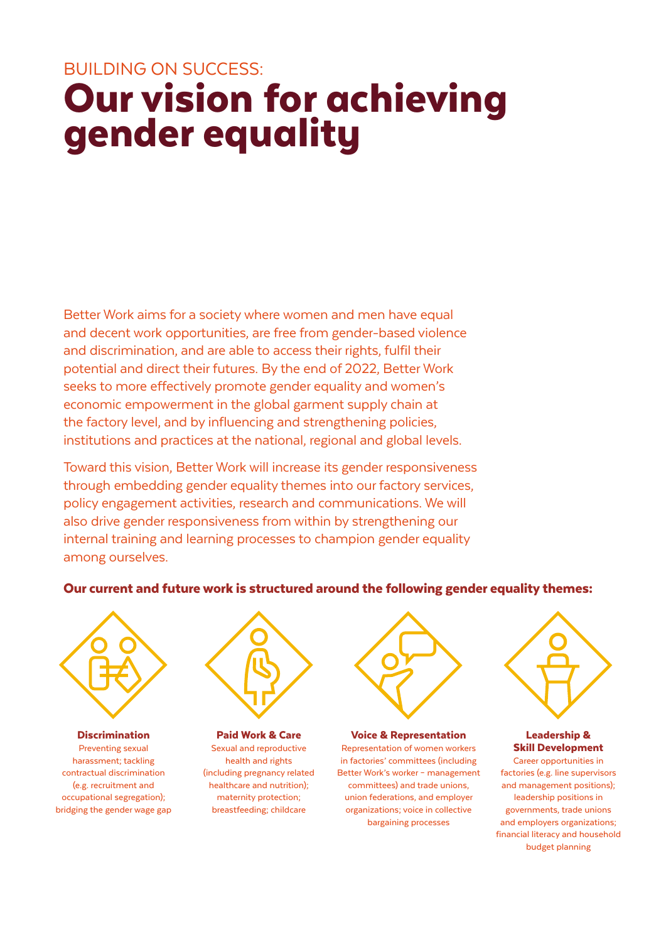## BUILDING ON SUCCESS: Our vision for achieving gender equality

Better Work aims for a society where women and men have equal and decent work opportunities, are free from gender-based violence and discrimination, and are able to access their rights, fulfil their potential and direct their futures. By the end of 2022, Better Work seeks to more effectively promote gender equality and women's economic empowerment in the global garment supply chain at the factory level, and by influencing and strengthening policies, institutions and practices at the national, regional and global levels.

Toward this vision, Better Work will increase its gender responsiveness through embedding gender equality themes into our factory services, policy engagement activities, research and communications. We will also drive gender responsiveness from within by strengthening our internal training and learning processes to champion gender equality among ourselves.

### Our current and future work is structured around the following gender equality themes:



**Discrimination** Preventing sexual harassment; tackling contractual discrimination (e.g. recruitment and occupational segregation); bridging the gender wage gap



Paid Work & Care Sexual and reproductive health and rights (including pregnancy related healthcare and nutrition); maternity protection; breastfeeding; childcare



#### Voice & Representation

Representation of women workers in factories' committees (including Better Work's worker – management committees) and trade unions, union federations, and employer organizations; voice in collective bargaining processes



### Leadership & Skill Development

Career opportunities in factories (e.g. line supervisors and management positions); leadership positions in governments, trade unions and employers organizations; financial literacy and household budget planning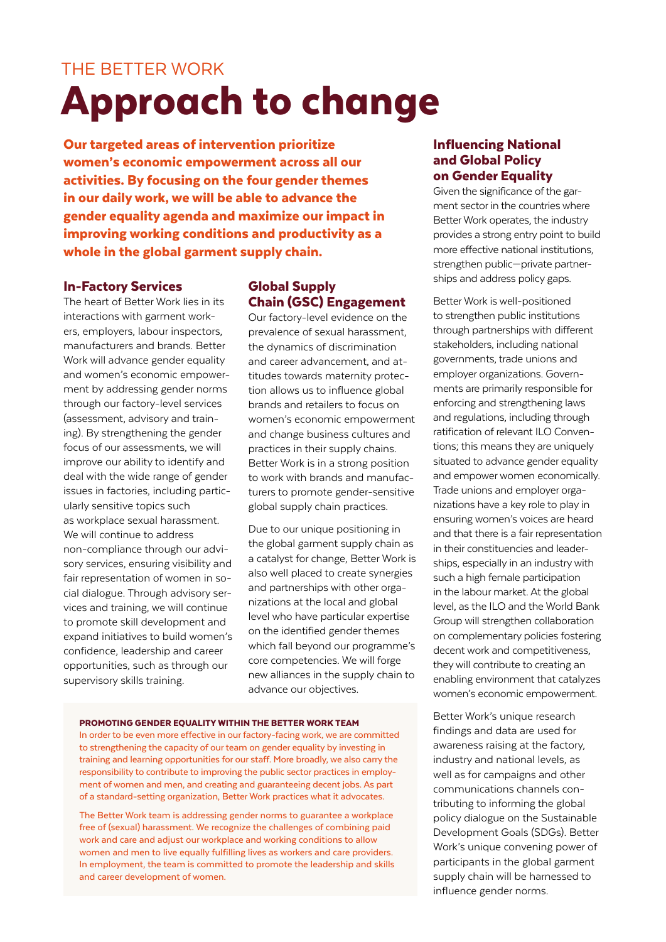## THE BETTER WORK Approach to change

Our targeted areas of intervention prioritize women's economic empowerment across all our activities. By focusing on the four gender themes in our daily work, we will be able to advance the gender equality agenda and maximize our impact in improving working conditions and productivity as a whole in the global garment supply chain.

### In-Factory Services

The heart of Better Work lies in its interactions with garment workers, employers, labour inspectors, manufacturers and brands. Better Work will advance gender equality and women's economic empowerment by addressing gender norms through our factory-level services (assessment, advisory and training). By strengthening the gender focus of our assessments, we will improve our ability to identify and deal with the wide range of gender issues in factories, including particularly sensitive topics such as workplace sexual harassment. We will continue to address non-compliance through our advisory services, ensuring visibility and fair representation of women in social dialogue. Through advisory services and training, we will continue to promote skill development and expand initiatives to build women's confidence, leadership and career opportunities, such as through our supervisory skills training.

### Global Supply Chain (GSC) Engagement

Our factory-level evidence on the prevalence of sexual harassment, the dynamics of discrimination and career advancement, and attitudes towards maternity protection allows us to influence global brands and retailers to focus on women's economic empowerment and change business cultures and practices in their supply chains. Better Work is in a strong position to work with brands and manufacturers to promote gender-sensitive global supply chain practices.

Due to our unique positioning in the global garment supply chain as a catalyst for change, Better Work is also well placed to create synergies and partnerships with other organizations at the local and global level who have particular expertise on the identified gender themes which fall beyond our programme's core competencies. We will forge new alliances in the supply chain to advance our objectives.

#### PROMOTING GENDER EQUALITY WITHIN THE BETTER WORK TEAM

In order to be even more effective in our factory-facing work, we are committed to strengthening the capacity of our team on gender equality by investing in training and learning opportunities for our staff. More broadly, we also carry the responsibility to contribute to improving the public sector practices in employment of women and men, and creating and guaranteeing decent jobs. As part of a standard-setting organization, Better Work practices what it advocates.

The Better Work team is addressing gender norms to guarantee a workplace free of (sexual) harassment. We recognize the challenges of combining paid work and care and adjust our workplace and working conditions to allow women and men to live equally fulfilling lives as workers and care providers. In employment, the team is committed to promote the leadership and skills and career development of women.

### Influencing National and Global Policy on Gender Equality

Given the significance of the garment sector in the countries where Better Work operates, the industry provides a strong entry point to build more effective national institutions, strengthen public—private partnerships and address policy gaps.

Better Work is well-positioned to strengthen public institutions through partnerships with different stakeholders, including national governments, trade unions and employer organizations. Governments are primarily responsible for enforcing and strengthening laws and regulations, including through ratification of relevant ILO Conventions; this means they are uniquely situated to advance gender equality and empower women economically. Trade unions and employer organizations have a key role to play in ensuring women's voices are heard and that there is a fair representation in their constituencies and leaderships, especially in an industry with such a high female participation in the labour market. At the global level, as the ILO and the World Bank Group will strengthen collaboration on complementary policies fostering decent work and competitiveness, they will contribute to creating an enabling environment that catalyzes women's economic empowerment.

Better Work's unique research findings and data are used for awareness raising at the factory, industry and national levels, as well as for campaigns and other communications channels contributing to informing the global policy dialogue on the Sustainable Development Goals (SDGs). Better Work's unique convening power of participants in the global garment supply chain will be harnessed to influence gender norms.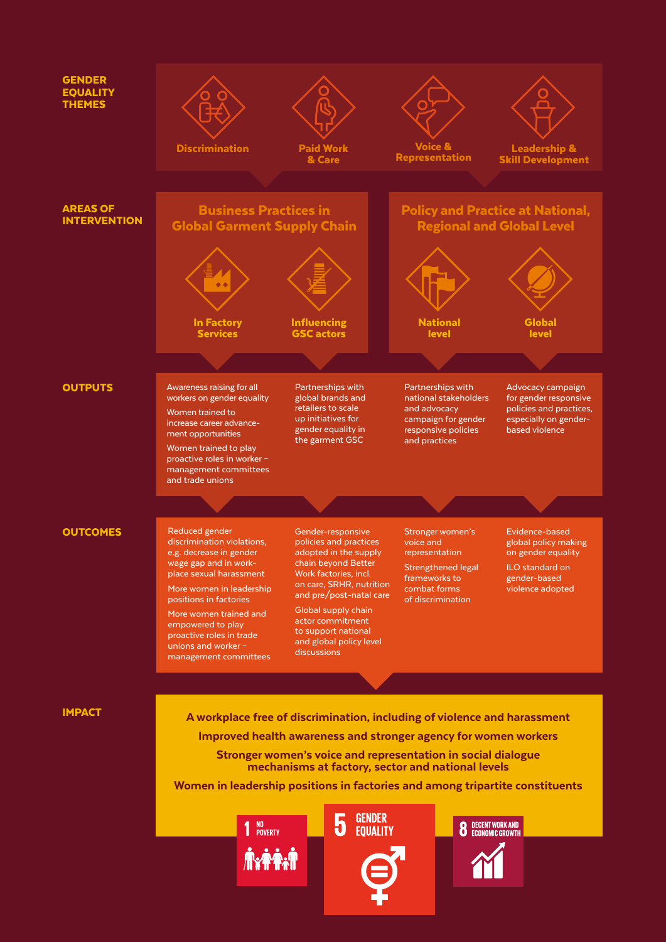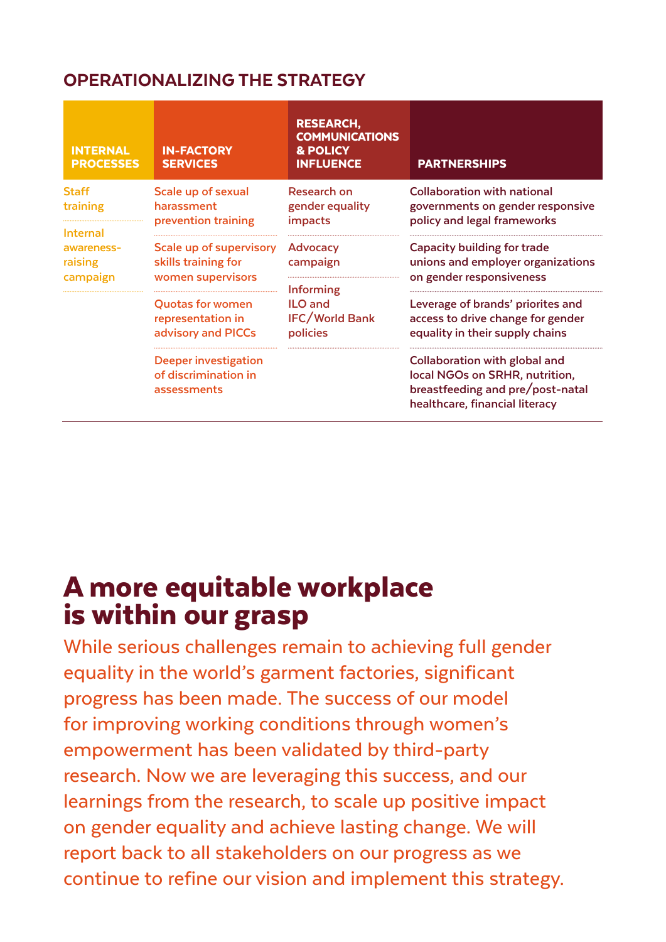### OPERATIONALIZING THE STRATEGY

| <b>INTERNAL</b><br><b>PROCESSES</b>                                       | <b>IN-FACTORY</b><br><b>SERVICES</b>                                | <b>RESEARCH,</b><br><b>COMMUNICATIONS</b><br>& POLICY<br><b>INFLUENCE</b>                | <b>PARTNERSHIPS</b>                                                                                                                          |
|---------------------------------------------------------------------------|---------------------------------------------------------------------|------------------------------------------------------------------------------------------|----------------------------------------------------------------------------------------------------------------------------------------------|
| <b>Staff</b><br>training<br>Internal<br>awareness-<br>raising<br>campaign | Scale up of sexual<br>harassment<br>prevention training             | Research on<br>gender equality<br><i>impacts</i>                                         | <b>Collaboration with national</b><br>governments on gender responsive<br>policy and legal frameworks                                        |
|                                                                           | Scale up of supervisory<br>skills training for<br>women supervisors | Advocacy<br>campaign<br>Informing<br><b>ILO</b> and<br><b>IFC/World Bank</b><br>policies | Capacity building for trade<br>unions and employer organizations<br>on gender responsiveness                                                 |
|                                                                           | <b>Quotas for women</b><br>representation in<br>advisory and PICCs  |                                                                                          | Leverage of brands' priorites and<br>access to drive change for gender<br>equality in their supply chains                                    |
|                                                                           | <b>Deeper investigation</b><br>of discrimination in<br>assessments  |                                                                                          | <b>Collaboration with global and</b><br>local NGOs on SRHR, nutrition,<br>breastfeeding and pre/post-natal<br>healthcare, financial literacy |

## A more equitable workplace is within our grasp

While serious challenges remain to achieving full gender equality in the world's garment factories, significant progress has been made. The success of our model for improving working conditions through women's empowerment has been validated by third-party research. Now we are leveraging this success, and our learnings from the research, to scale up positive impact on gender equality and achieve lasting change. We will report back to all stakeholders on our progress as we continue to refine our vision and implement this strategy.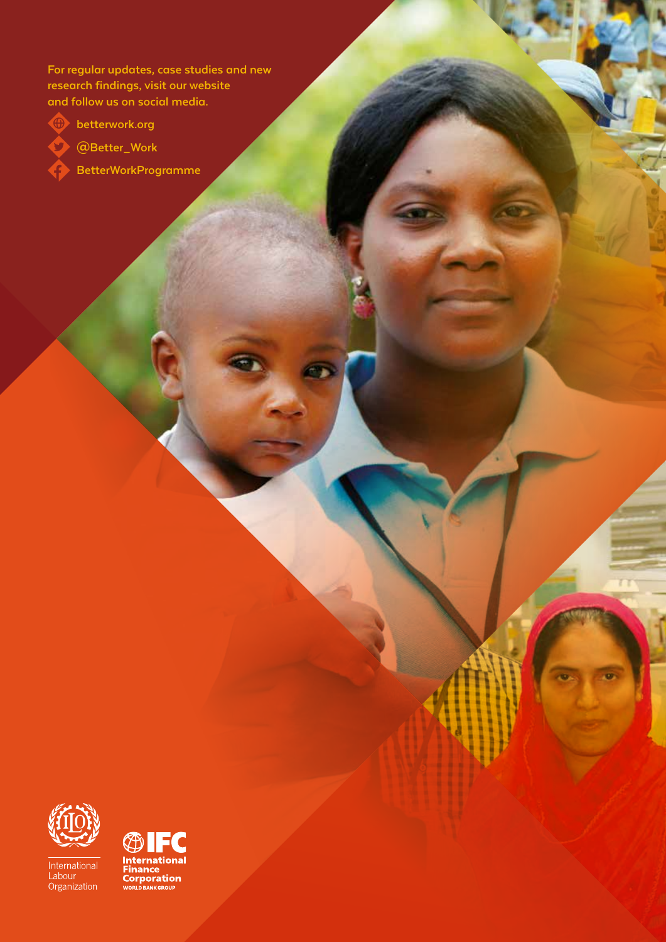**For regular updates, case studies and new research findings, visit our website and follow us on social media.**



**betterwork.org**



**@Better\_Work BetterWorkProgramme**



International<br>Labour<br>Organization